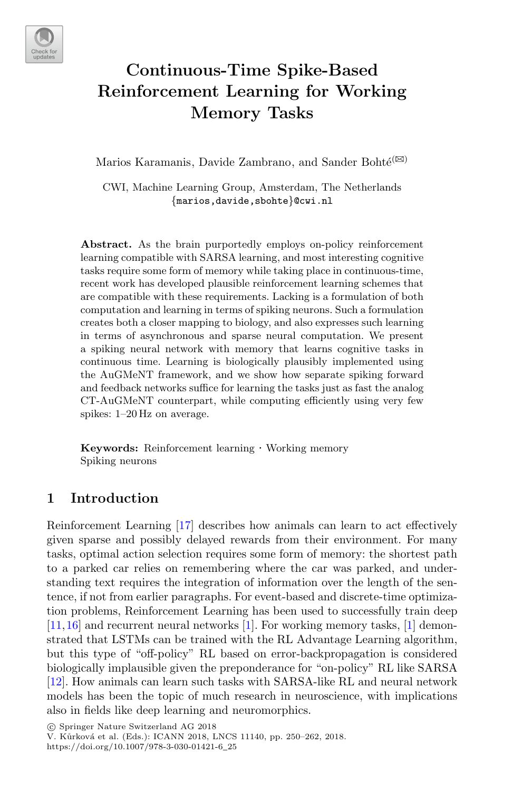

# **Continuous-Time Spike-Based Reinforcement Learning for Working Memory Tasks**

Marios Karamanis, Davide Zambrano, and Sander Bohté<sup>( $\boxtimes$ )</sup>

CWI, Machine Learning Group, Amsterdam, The Netherlands *{*marios,davide,sbohte*}*@cwi.nl

**Abstract.** As the brain purportedly employs on-policy reinforcement learning compatible with SARSA learning, and most interesting cognitive tasks require some form of memory while taking place in continuous-time, recent work has developed plausible reinforcement learning schemes that are compatible with these requirements. Lacking is a formulation of both computation and learning in terms of spiking neurons. Such a formulation creates both a closer mapping to biology, and also expresses such learning in terms of asynchronous and sparse neural computation. We present a spiking neural network with memory that learns cognitive tasks in continuous time. Learning is biologically plausibly implemented using the AuGMeNT framework, and we show how separate spiking forward and feedback networks suffice for learning the tasks just as fast the analog CT-AuGMeNT counterpart, while computing efficiently using very few spikes: 1–20 Hz on average.

**Keywords:** Reinforcement learning · Working memory Spiking neurons

# **1 Introduction**

Reinforcement Learning [\[17\]](#page-12-0) describes how animals can learn to act effectively given sparse and possibly delayed rewards from their environment. For many tasks, optimal action selection requires some form of memory: the shortest path to a parked car relies on remembering where the car was parked, and understanding text requires the integration of information over the length of the sentence, if not from earlier paragraphs. For event-based and discrete-time optimization problems, Reinforcement Learning has been used to successfully train deep [\[11](#page-11-0),[16\]](#page-12-1) and recurrent neural networks [\[1\]](#page-11-1). For working memory tasks, [\[1\]](#page-11-1) demonstrated that LSTMs can be trained with the RL Advantage Learning algorithm, but this type of "off-policy" RL based on error-backpropagation is considered biologically implausible given the preponderance for "on-policy" RL like SARSA [\[12](#page-12-2)]. How animals can learn such tasks with SARSA-like RL and neural network models has been the topic of much research in neuroscience, with implications also in fields like deep learning and neuromorphics.

-c Springer Nature Switzerland AG 2018

V. Kůrková et al. (Eds.): ICANN 2018, LNCS 11140, pp. 250–262, 2018. https://doi.org/10.1007/978-3-030-01421-6\_25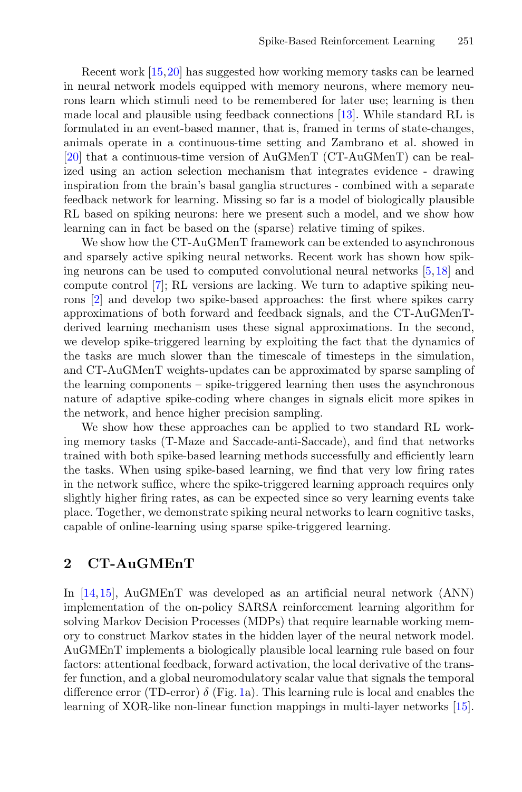Recent work [\[15](#page-12-3)[,20](#page-12-4)] has suggested how working memory tasks can be learned in neural network models equipped with memory neurons, where memory neurons learn which stimuli need to be remembered for later use; learning is then made local and plausible using feedback connections [\[13\]](#page-12-5). While standard RL is formulated in an event-based manner, that is, framed in terms of state-changes, animals operate in a continuous-time setting and Zambrano et al. showed in [\[20](#page-12-4)] that a continuous-time version of AuGMenT (CT-AuGMenT) can be realized using an action selection mechanism that integrates evidence - drawing inspiration from the brain's basal ganglia structures - combined with a separate feedback network for learning. Missing so far is a model of biologically plausible RL based on spiking neurons: here we present such a model, and we show how learning can in fact be based on the (sparse) relative timing of spikes.

We show how the CT-AuGMenT framework can be extended to asynchronous and sparsely active spiking neural networks. Recent work has shown how spiking neurons can be used to computed convolutional neural networks [\[5](#page-11-2)[,18](#page-12-6)] and compute control [\[7\]](#page-11-3); RL versions are lacking. We turn to adaptive spiking neurons [\[2](#page-11-4)] and develop two spike-based approaches: the first where spikes carry approximations of both forward and feedback signals, and the CT-AuGMenTderived learning mechanism uses these signal approximations. In the second, we develop spike-triggered learning by exploiting the fact that the dynamics of the tasks are much slower than the timescale of timesteps in the simulation, and CT-AuGMenT weights-updates can be approximated by sparse sampling of the learning components – spike-triggered learning then uses the asynchronous nature of adaptive spike-coding where changes in signals elicit more spikes in the network, and hence higher precision sampling.

We show how these approaches can be applied to two standard RL working memory tasks (T-Maze and Saccade-anti-Saccade), and find that networks trained with both spike-based learning methods successfully and efficiently learn the tasks. When using spike-based learning, we find that very low firing rates in the network suffice, where the spike-triggered learning approach requires only slightly higher firing rates, as can be expected since so very learning events take place. Together, we demonstrate spiking neural networks to learn cognitive tasks, capable of online-learning using sparse spike-triggered learning.

# **2 CT-AuGMEnT**

In [\[14](#page-12-7)[,15](#page-12-3)], AuGMEnT was developed as an artificial neural network (ANN) implementation of the on-policy SARSA reinforcement learning algorithm for solving Markov Decision Processes (MDPs) that require learnable working memory to construct Markov states in the hidden layer of the neural network model. AuGMEnT implements a biologically plausible local learning rule based on four factors: attentional feedback, forward activation, the local derivative of the transfer function, and a global neuromodulatory scalar value that signals the temporal difference error (TD-error)  $\delta$  (Fig. [1a](#page-2-0)). This learning rule is local and enables the learning of XOR-like non-linear function mappings in multi-layer networks [\[15\]](#page-12-3).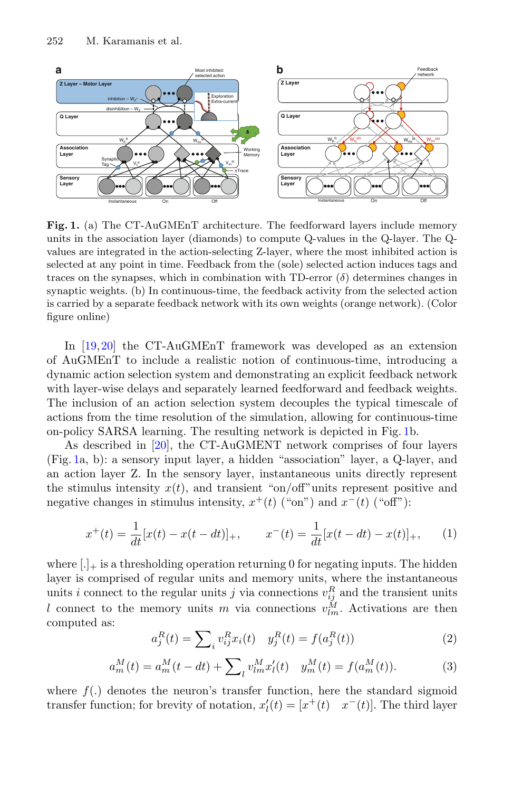

<span id="page-2-0"></span>**Fig. 1.** (a) The CT-AuGMEnT architecture. The feedforward layers include memory units in the association layer (diamonds) to compute Q-values in the Q-layer. The Qvalues are integrated in the action-selecting Z-layer, where the most inhibited action is selected at any point in time. Feedback from the (sole) selected action induces tags and traces on the synapses, which in combination with TD-error  $(\delta)$  determines changes in synaptic weights. (b) In continuous-time, the feedback activity from the selected action is carried by a separate feedback network with its own weights (orange network). (Color figure online)

In [\[19](#page-12-8)[,20](#page-12-4)] the CT-AuGMEnT framework was developed as an extension of AuGMEnT to include a realistic notion of continuous-time, introducing a dynamic action selection system and demonstrating an explicit feedback network with layer-wise delays and separately learned feedforward and feedback weights. The inclusion of an action selection system decouples the typical timescale of actions from the time resolution of the simulation, allowing for continuous-time on-policy SARSA learning. The resulting network is depicted in Fig. [1b](#page-2-0).

As described in [\[20](#page-12-4)], the CT-AuGMENT network comprises of four layers (Fig. [1a](#page-2-0), b): a sensory input layer, a hidden "association" layer, a Q-layer, and an action layer Z. In the sensory layer, instantaneous units directly represent the stimulus intensity  $x(t)$ , and transient "on/off" units represent positive and negative changes in stimulus intensity,  $x^+(t)$  ("on") and  $x^-(t)$  ("off"):

$$
x^{+}(t) = \frac{1}{dt}[x(t) - x(t - dt)]_{+}, \qquad x^{-}(t) = \frac{1}{dt}[x(t - dt) - x(t)]_{+}, \qquad (1)
$$

where  $\left[ . \right]_+$  is a thresholding operation returning 0 for negating inputs. The hidden layer is comprised of regular units and memory units, where the instantaneous units i connect to the regular units j via connections  $v_{ij}^R$  and the transient units l connect to the memory units m via connections  $v_{lm}^M$ . Activations are then computed as:

$$
a_j^R(t) = \sum_i v_{ij}^R x_i(t) \quad y_j^R(t) = f(a_j^R(t))
$$
\n(2)

$$
a_m^M(t) = a_m^M(t - dt) + \sum_{l} v_{lm}^M x'_l(t) \quad y_m^M(t) = f(a_m^M(t)).
$$
 (3)

where  $f(.)$  denotes the neuron's transfer function, here the standard sigmoid transfer function; for brevity of notation,  $x'_{l}(t)=[x^{+}(t) \quad x^{-}(t)]$ . The third layer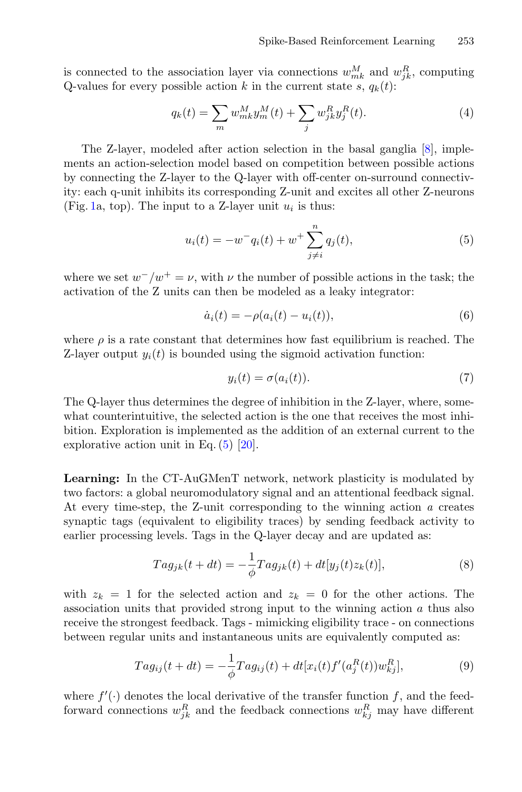is connected to the association layer via connections  $w_{mk}^M$  and  $w_{jk}^R$ , computing Q-values for every possible action k in the current state s,  $q_k(t)$ :

$$
q_k(t) = \sum_m w_{mk}^M y_m^M(t) + \sum_j w_{jk}^R y_j^R(t).
$$
 (4)

The Z-layer, modeled after action selection in the basal ganglia [\[8\]](#page-11-5), implements an action-selection model based on competition between possible actions by connecting the Z-layer to the Q-layer with off-center on-surround connectivity: each q-unit inhibits its corresponding Z-unit and excites all other Z-neurons (Fig. [1a](#page-2-0), top). The input to a Z-layer unit  $u_i$  is thus:

<span id="page-3-0"></span>
$$
u_i(t) = -w^- q_i(t) + w^+ \sum_{j \neq i}^{n} q_j(t), \qquad (5)
$$

where we set  $w^-/w^+ = \nu$ , with  $\nu$  the number of possible actions in the task; the activation of the Z units can then be modeled as a leaky integrator:

$$
\dot{a}_i(t) = -\rho(a_i(t) - u_i(t)),
$$
\n(6)

where  $\rho$  is a rate constant that determines how fast equilibrium is reached. The Z-layer output  $y_i(t)$  is bounded using the sigmoid activation function:

$$
y_i(t) = \sigma(a_i(t)).
$$
\n(7)

The Q-layer thus determines the degree of inhibition in the Z-layer, where, somewhat counterintuitive, the selected action is the one that receives the most inhibition. Exploration is implemented as the addition of an external current to the explorative action unit in Eq. [\(5\)](#page-3-0) [\[20\]](#page-12-4).

**Learning:** In the CT-AuGMenT network, network plasticity is modulated by two factors: a global neuromodulatory signal and an attentional feedback signal. At every time-step, the Z-unit corresponding to the winning action *a* creates synaptic tags (equivalent to eligibility traces) by sending feedback activity to earlier processing levels. Tags in the Q-layer decay and are updated as:

<span id="page-3-1"></span>
$$
Tag_{jk}(t+dt) = -\frac{1}{\phi}Tag_{jk}(t) + dt[y_j(t)z_k(t)],
$$
\n(8)

with  $z_k = 1$  for the selected action and  $z_k = 0$  for the other actions. The association units that provided strong input to the winning action a thus also receive the strongest feedback. Tags - mimicking eligibility trace - on connections between regular units and instantaneous units are equivalently computed as:

$$
Tag_{ij}(t+dt) = -\frac{1}{\phi}Tag_{ij}(t) + dt[x_i(t)f'(a_j^R(t))w_{kj}^R],
$$
\n(9)

where  $f'(\cdot)$  denotes the local derivative of the transfer function f, and the feedforward connections  $w_{jk}^R$  and the feedback connections  $w_{kj}^R$  may have different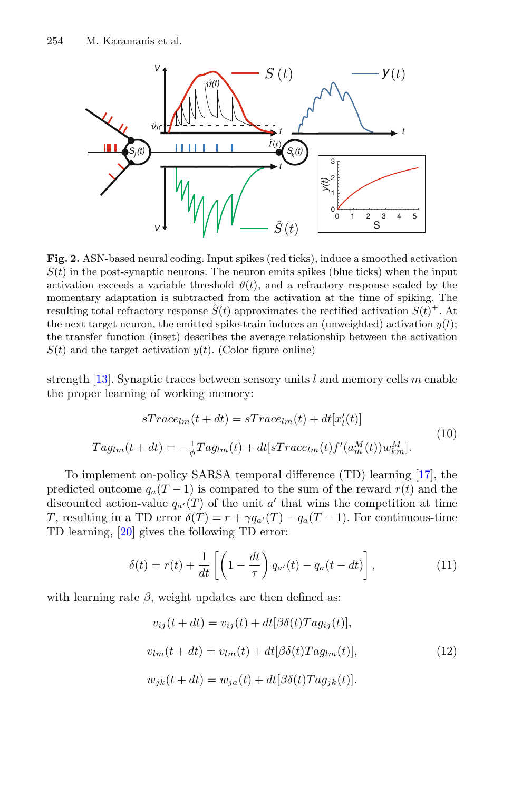

<span id="page-4-0"></span>**Fig. 2.** ASN-based neural coding. Input spikes (red ticks), induce a smoothed activation  $S(t)$  in the post-synaptic neurons. The neuron emits spikes (blue ticks) when the input activation exceeds a variable threshold  $\vartheta(t)$ , and a refractory response scaled by the momentary adaptation is subtracted from the activation at the time of spiking. The resulting total refractory response  $\hat{S}(t)$  approximates the rectified activation  $S(t)^+$ . At the next target neuron, the emitted spike-train induces an (unweighted) activation  $y(t)$ ; the transfer function (inset) describes the average relationship between the activation  $S(t)$  and the target activation  $y(t)$ . (Color figure online)

strength [\[13\]](#page-12-5). Synaptic traces between sensory units l and memory cells m enable the proper learning of working memory:

<span id="page-4-2"></span>
$$
sTrace_{lm}(t+dt) = sTrace_{lm}(t) + dt[x'_{l}(t)]
$$
  

$$
Tag_{lm}(t+dt) = -\frac{1}{\phi}Tag_{lm}(t) + dt[sTrace_{lm}(t)f'(a_m^M(t))w_{km}^M].
$$
 (10)

To implement on-policy SARSA temporal difference (TD) learning [\[17](#page-12-0)], the predicted outcome  $q_a(T-1)$  is compared to the sum of the reward  $r(t)$  and the discounted action-value  $q_{a'}(T)$  of the unit  $a'$  that wins the competition at time T, resulting in a TD error  $\delta(T) = r + \gamma q_{a'}(T) - q_a(T-1)$ . For continuous-time TD learning, [\[20](#page-12-4)] gives the following TD error:

$$
\delta(t) = r(t) + \frac{1}{dt} \left[ \left( 1 - \frac{dt}{\tau} \right) q_{a'}(t) - q_a(t - dt) \right], \tag{11}
$$

with learning rate  $\beta$ , weight updates are then defined as:

<span id="page-4-1"></span>
$$
v_{ij}(t+dt) = v_{ij}(t) + dt[\beta\delta(t)Tag_{ij}(t)],
$$
  
\n
$$
v_{lm}(t+dt) = v_{lm}(t) + dt[\beta\delta(t)Tag_{lm}(t)],
$$
  
\n
$$
w_{jk}(t+dt) = w_{ja}(t) + dt[\beta\delta(t)Tag_{jk}(t)].
$$
\n(12)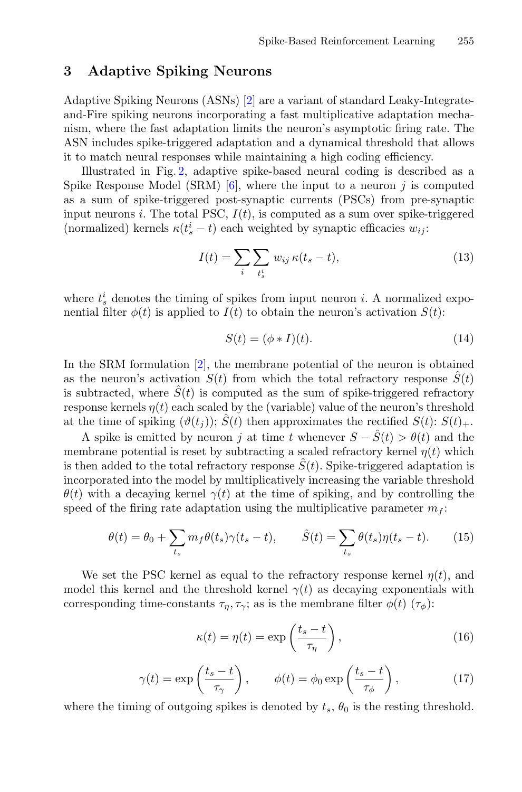### **3 Adaptive Spiking Neurons**

Adaptive Spiking Neurons (ASNs) [\[2](#page-11-4)] are a variant of standard Leaky-Integrateand-Fire spiking neurons incorporating a fast multiplicative adaptation mechanism, where the fast adaptation limits the neuron's asymptotic firing rate. The ASN includes spike-triggered adaptation and a dynamical threshold that allows it to match neural responses while maintaining a high coding efficiency.

Illustrated in Fig. [2,](#page-4-0) adaptive spike-based neural coding is described as a Spike Response Model (SRM) [\[6\]](#page-11-6), where the input to a neuron  $j$  is computed as a sum of spike-triggered post-synaptic currents (PSCs) from pre-synaptic input neurons i. The total PSC,  $I(t)$ , is computed as a sum over spike-triggered (normalized) kernels  $\kappa(t_s^i - t)$  each weighted by synaptic efficacies  $w_{ij}$ :

$$
I(t) = \sum_{i} \sum_{t_s^i} w_{ij} \kappa(t_s - t), \qquad (13)
$$

where  $t_s^i$  denotes the timing of spikes from input neuron i. A normalized exponential filter  $\phi(t)$  is applied to  $I(t)$  to obtain the neuron's activation  $S(t)$ :

$$
S(t) = (\phi * I)(t). \tag{14}
$$

In the SRM formulation [\[2](#page-11-4)], the membrane potential of the neuron is obtained as the neuron's activation  $S(t)$  from which the total refractory response  $S(t)$ is subtracted, where  $S(t)$  is computed as the sum of spike-triggered refractory response kernels  $\eta(t)$  each scaled by the (variable) value of the neuron's threshold at the time of spiking  $(\vartheta(t_i)); \tilde{S}(t)$  then approximates the rectified  $S(t): S(t)_+.$ 

A spike is emitted by neuron j at time t whenever  $S - \hat{S}(t) > \theta(t)$  and the membrane potential is reset by subtracting a scaled refractory kernel  $\eta(t)$  which is then added to the total refractory response  $\hat{S}(t)$ . Spike-triggered adaptation is incorporated into the model by multiplicatively increasing the variable threshold  $\theta(t)$  with a decaying kernel  $\gamma(t)$  at the time of spiking, and by controlling the speed of the firing rate adaptation using the multiplicative parameter  $m_f$ :

$$
\theta(t) = \theta_0 + \sum_{t_s} m_f \theta(t_s) \gamma(t_s - t), \qquad \hat{S}(t) = \sum_{t_s} \theta(t_s) \eta(t_s - t). \tag{15}
$$

We set the PSC kernel as equal to the refractory response kernel  $\eta(t)$ , and model this kernel and the threshold kernel  $\gamma(t)$  as decaying exponentials with corresponding time-constants  $\tau_{\eta}, \tau_{\gamma}$ ; as is the membrane filter  $\phi(t)$  ( $\tau_{\phi}$ ):

$$
\kappa(t) = \eta(t) = \exp\left(\frac{t_s - t}{\tau_\eta}\right),\tag{16}
$$

$$
\gamma(t) = \exp\left(\frac{t_s - t}{\tau_\gamma}\right), \qquad \phi(t) = \phi_0 \exp\left(\frac{t_s - t}{\tau_\phi}\right), \tag{17}
$$

where the timing of outgoing spikes is denoted by  $t_s$ ,  $\theta_0$  is the resting threshold.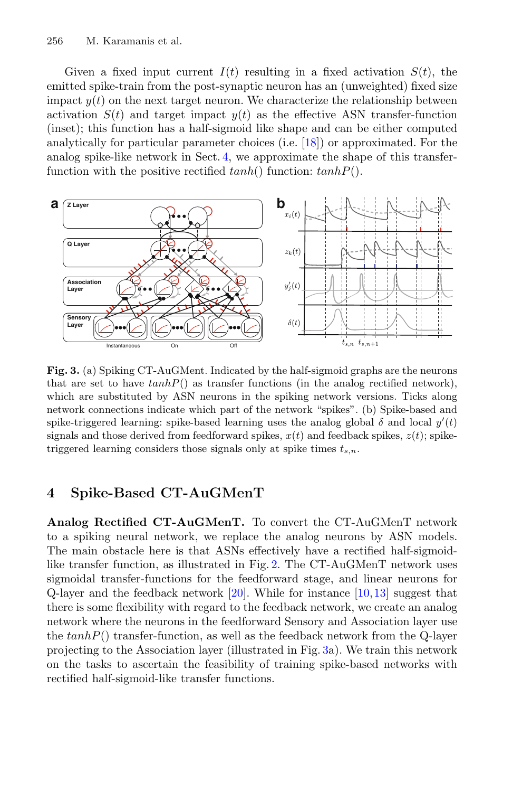Given a fixed input current  $I(t)$  resulting in a fixed activation  $S(t)$ , the emitted spike-train from the post-synaptic neuron has an (unweighted) fixed size impact  $y(t)$  on the next target neuron. We characterize the relationship between activation  $S(t)$  and target impact  $y(t)$  as the effective ASN transfer-function (inset); this function has a half-sigmoid like shape and can be either computed analytically for particular parameter choices (i.e. [\[18\]](#page-12-6)) or approximated. For the analog spike-like network in Sect. [4,](#page-6-0) we approximate the shape of this transferfunction with the positive rectified  $tanh()$  function:  $tanhP()$ .



<span id="page-6-1"></span>**Fig. 3.** (a) Spiking CT-AuGMent. Indicated by the half-sigmoid graphs are the neurons that are set to have  $tanhP()$  as transfer functions (in the analog rectified network), which are substituted by ASN neurons in the spiking network versions. Ticks along network connections indicate which part of the network "spikes". (b) Spike-based and spike-triggered learning: spike-based learning uses the analog global  $\delta$  and local  $y'(t)$ signals and those derived from feedforward spikes,  $x(t)$  and feedback spikes,  $z(t)$ ; spiketriggered learning considers those signals only at spike times  $t_{s,n}$ .

# <span id="page-6-0"></span>**4 Spike-Based CT-AuGMenT**

**Analog Rectified CT-AuGMenT.** To convert the CT-AuGMenT network to a spiking neural network, we replace the analog neurons by ASN models. The main obstacle here is that ASNs effectively have a rectified half-sigmoidlike transfer function, as illustrated in Fig. [2.](#page-4-0) The CT-AuGMenT network uses sigmoidal transfer-functions for the feedforward stage, and linear neurons for Q-layer and the feedback network [\[20\]](#page-12-4). While for instance [\[10](#page-11-7)[,13\]](#page-12-5) suggest that there is some flexibility with regard to the feedback network, we create an analog network where the neurons in the feedforward Sensory and Association layer use the  $tanhP()$  transfer-function, as well as the feedback network from the Q-layer projecting to the Association layer (illustrated in Fig. [3a](#page-6-1)). We train this network on the tasks to ascertain the feasibility of training spike-based networks with rectified half-sigmoid-like transfer functions.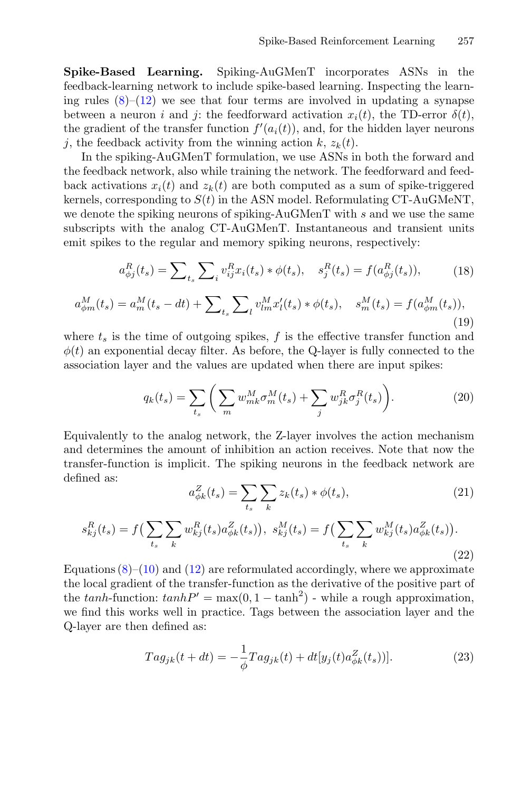**Spike-Based Learning.** Spiking-AuGMenT incorporates ASNs in the feedback-learning network to include spike-based learning. Inspecting the learning rules  $(8)$ – $(12)$  we see that four terms are involved in updating a synapse between a neuron i and j: the feedforward activation  $x_i(t)$ , the TD-error  $\delta(t)$ , the gradient of the transfer function  $f'(a_i(t))$ , and, for the hidden layer neurons *j*, the feedback activity from the winning action k,  $z_k(t)$ .

In the spiking-AuGMenT formulation, we use ASNs in both the forward and the feedback network, also while training the network. The feedforward and feedback activations  $x_i(t)$  and  $z_k(t)$  are both computed as a sum of spike-triggered kernels, corresponding to  $S(t)$  in the ASN model. Reformulating CT-AuGMeNT, we denote the spiking neurons of spiking-AuGMenT with s and we use the same subscripts with the analog CT-AuGMenT. Instantaneous and transient units emit spikes to the regular and memory spiking neurons, respectively:

$$
a_{\phi j}^R(t_s) = \sum_{t_s} \sum_i v_{ij}^R x_i(t_s) * \phi(t_s), \quad s_j^R(t_s) = f(a_{\phi j}^R(t_s)), \tag{18}
$$

$$
a_{\phi m}^{M}(t_s) = a_m^{M}(t_s - dt) + \sum_{t_s} \sum_{l} v_{lm}^{M} x_{l}'(t_s) * \phi(t_s), \quad s_m^{M}(t_s) = f(a_{\phi m}^{M}(t_s)),
$$
\n(19)

where  $t_s$  is the time of outgoing spikes, f is the effective transfer function and  $\phi(t)$  an exponential decay filter. As before, the Q-layer is fully connected to the association layer and the values are updated when there are input spikes:

$$
q_k(t_s) = \sum_{t_s} \left( \sum_m w_{mk}^M \sigma_m^M(t_s) + \sum_j w_{jk}^R \sigma_j^R(t_s) \right). \tag{20}
$$

Equivalently to the analog network, the Z-layer involves the action mechanism and determines the amount of inhibition an action receives. Note that now the transfer-function is implicit. The spiking neurons in the feedback network are defined as:

$$
a_{\phi k}^Z(t_s) = \sum_{t_s} \sum_k z_k(t_s) * \phi(t_s), \qquad (21)
$$

<span id="page-7-0"></span>
$$
s_{kj}^{R}(t_{s}) = f\left(\sum_{t_{s}} \sum_{k} w_{kj}^{R}(t_{s}) a_{\phi k}^{Z}(t_{s})\right), \ s_{kj}^{M}(t_{s}) = f\left(\sum_{t_{s}} \sum_{k} w_{kj}^{M}(t_{s}) a_{\phi k}^{Z}(t_{s})\right). \tag{22}
$$

Equations  $(8)$ – $(10)$  and  $(12)$  are reformulated accordingly, where we approximate the local gradient of the transfer-function as the derivative of the positive part of the tanh-function:  $tanhP' = max(0, 1 - tanh^2)$  - while a rough approximation, we find this works well in practice. Tags between the association layer and the Q-layer are then defined as:

$$
Tag_{jk}(t+dt) = -\frac{1}{\phi}Tag_{jk}(t) + dt[y_j(t)a_{\phi k}^Z(t_s))].
$$
\n(23)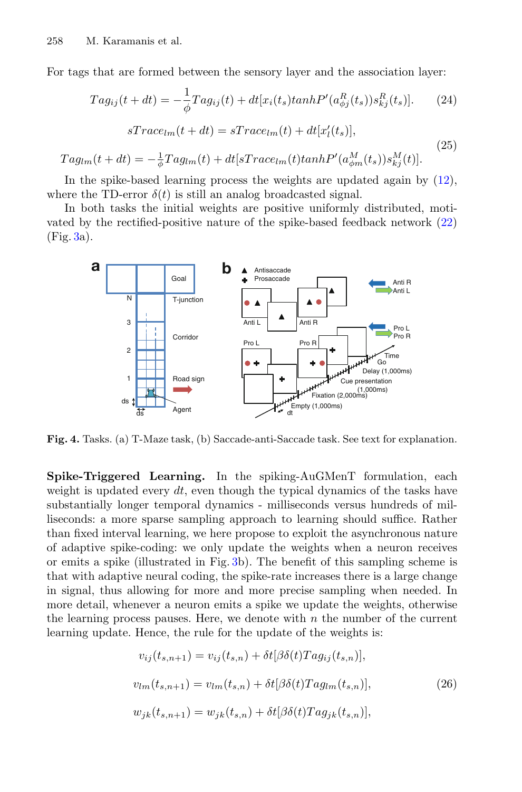For tags that are formed between the sensory layer and the association layer:

$$
Tag_{ij}(t+dt) = -\frac{1}{\phi}Tag_{ij}(t) + dt[x_i(t_s)tanhP'(a_{\phi j}^R(t_s))s_{kj}^R(t_s)].
$$
 (24)

$$
sTrace_{lm}(t+dt) = sTrace_{lm}(t) + dt[x'_l(t_s)],
$$
\n(25)

$$
Tag_{lm}(t+dt) = -\frac{1}{\phi}Tag_{lm}(t) + dt[sTrace_{lm}(t) tanhP'(a_{\phi m}^{M}(t_s))s_{kj}^{M}(t)].
$$

In the spike-based learning process the weights are updated again by [\(12\)](#page-4-1), where the TD-error  $\delta(t)$  is still an analog broadcasted signal.

In both tasks the initial weights are positive uniformly distributed, motivated by the rectified-positive nature of the spike-based feedback network [\(22\)](#page-7-0)  $(Fig. 3a)$  $(Fig. 3a)$  $(Fig. 3a)$ .



**Fig. 4.** Tasks. (a) T-Maze task, (b) Saccade-anti-Saccade task. See text for explanation.

**Spike-Triggered Learning.** In the spiking-AuGMenT formulation, each weight is updated every  $dt$ , even though the typical dynamics of the tasks have substantially longer temporal dynamics - milliseconds versus hundreds of milliseconds: a more sparse sampling approach to learning should suffice. Rather than fixed interval learning, we here propose to exploit the asynchronous nature of adaptive spike-coding: we only update the weights when a neuron receives or emits a spike (illustrated in Fig. [3b](#page-6-1)). The benefit of this sampling scheme is that with adaptive neural coding, the spike-rate increases there is a large change in signal, thus allowing for more and more precise sampling when needed. In more detail, whenever a neuron emits a spike we update the weights, otherwise the learning process pauses. Here, we denote with  $n$  the number of the current learning update. Hence, the rule for the update of the weights is:

$$
v_{ij}(t_{s,n+1}) = v_{ij}(t_{s,n}) + \delta t[\beta \delta(t)Tag_{ij}(t_{s,n})],
$$
  
\n
$$
v_{lm}(t_{s,n+1}) = v_{lm}(t_{s,n}) + \delta t[\beta \delta(t)Tag_{lm}(t_{s,n})],
$$
\n
$$
w_{jk}(t_{s,n+1}) = w_{jk}(t_{s,n}) + \delta t[\beta \delta(t)Tag_{jk}(t_{s,n})],
$$
\n(26)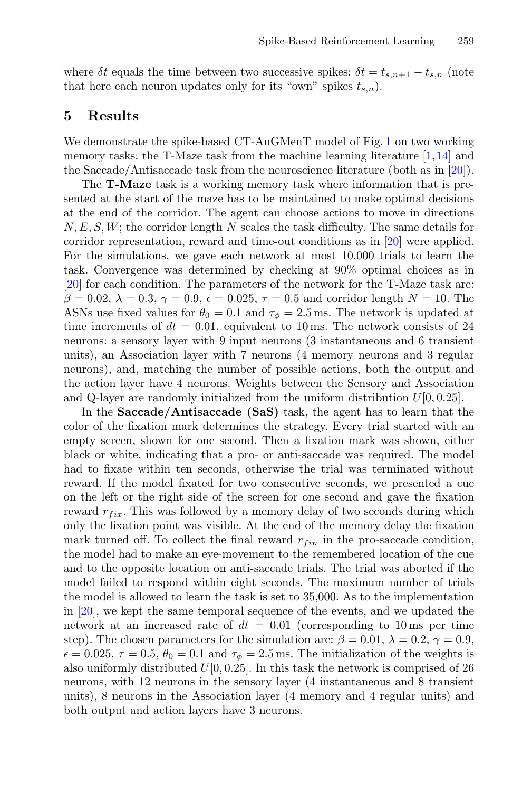where  $\delta t$  equals the time between two successive spikes:  $\delta t = t_{s,n+1} - t_{s,n}$  (note that here each neuron updates only for its "own" spikes  $t_{s,n}$ ).

### **5 Results**

We demonstrate the spike-based CT-AuGMenT model of Fig. [1](#page-2-0) on two working memory tasks: the T-Maze task from the machine learning literature [\[1](#page-11-1)[,14](#page-12-7)] and the Saccade/Antisaccade task from the neuroscience literature (both as in [\[20\]](#page-12-4)).

The **T-Maze** task is a working memory task where information that is presented at the start of the maze has to be maintained to make optimal decisions at the end of the corridor. The agent can choose actions to move in directions  $N, E, S, W$ ; the corridor length N scales the task difficulty. The same details for corridor representation, reward and time-out conditions as in [\[20](#page-12-4)] were applied. For the simulations, we gave each network at most 10,000 trials to learn the task. Convergence was determined by checking at 90% optimal choices as in [\[20](#page-12-4)] for each condition. The parameters of the network for the T-Maze task are:  $β = 0.02, λ = 0.3, γ = 0.9, ε = 0.025, τ = 0.5$  and corridor length  $N = 10$ . The ASNs use fixed values for  $\theta_0 = 0.1$  and  $\tau_{\phi} = 2.5$  ms. The network is updated at time increments of  $dt = 0.01$ , equivalent to 10 ms. The network consists of 24 neurons: a sensory layer with 9 input neurons (3 instantaneous and 6 transient units), an Association layer with 7 neurons (4 memory neurons and 3 regular neurons), and, matching the number of possible actions, both the output and the action layer have 4 neurons. Weights between the Sensory and Association and Q-layer are randomly initialized from the uniform distribution  $U[0, 0.25]$ .

In the **Saccade/Antisaccade (SaS)** task, the agent has to learn that the color of the fixation mark determines the strategy. Every trial started with an empty screen, shown for one second. Then a fixation mark was shown, either black or white, indicating that a pro- or anti-saccade was required. The model had to fixate within ten seconds, otherwise the trial was terminated without reward. If the model fixated for two consecutive seconds, we presented a cue on the left or the right side of the screen for one second and gave the fixation reward  $r_{fix}$ . This was followed by a memory delay of two seconds during which only the fixation point was visible. At the end of the memory delay the fixation mark turned off. To collect the final reward  $r_{fin}$  in the pro-saccade condition, the model had to make an eye-movement to the remembered location of the cue and to the opposite location on anti-saccade trials. The trial was aborted if the model failed to respond within eight seconds. The maximum number of trials the model is allowed to learn the task is set to 35,000. As to the implementation in [\[20](#page-12-4)], we kept the same temporal sequence of the events, and we updated the network at an increased rate of  $dt = 0.01$  (corresponding to 10 ms per time step). The chosen parameters for the simulation are:  $\beta = 0.01, \lambda = 0.2, \gamma = 0.9$ ,  $\epsilon = 0.025$ ,  $\tau = 0.5$ ,  $\theta_0 = 0.1$  and  $\tau_\phi = 2.5$  ms. The initialization of the weights is also uniformly distributed  $U[0, 0.25]$ . In this task the network is comprised of 26 neurons, with 12 neurons in the sensory layer (4 instantaneous and 8 transient units), 8 neurons in the Association layer (4 memory and 4 regular units) and both output and action layers have 3 neurons.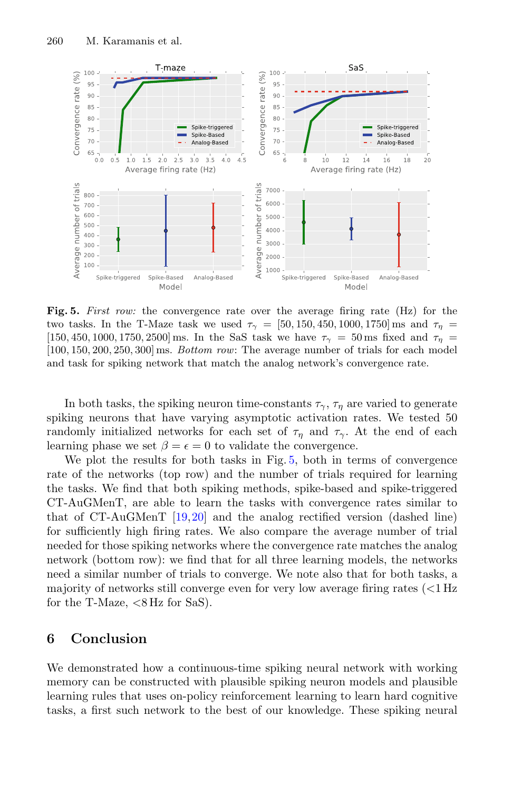

<span id="page-10-0"></span>**Fig. 5.** *First row:* the convergence rate over the average firing rate (Hz) for the two tasks. In the T-Maze task we used  $\tau_{\gamma} = [50, 150, 450, 1000, 1750]$  ms and  $\tau_{\eta} =$ [150, 450, 1000, 1750, 2500] ms. In the SaS task we have  $\tau_{\gamma} = 50 \,\text{ms}$  fixed and  $\tau_{\eta} =$ [100, 150, 200, 250, 300] ms. *Bottom row*: The average number of trials for each model and task for spiking network that match the analog network's convergence rate.

In both tasks, the spiking neuron time-constants  $\tau_{\gamma}$ ,  $\tau_{\eta}$  are varied to generate spiking neurons that have varying asymptotic activation rates. We tested 50 randomly initialized networks for each set of  $\tau_n$  and  $\tau_{\gamma}$ . At the end of each learning phase we set  $\beta = \epsilon = 0$  to validate the convergence.

We plot the results for both tasks in Fig. [5,](#page-10-0) both in terms of convergence rate of the networks (top row) and the number of trials required for learning the tasks. We find that both spiking methods, spike-based and spike-triggered CT-AuGMenT, are able to learn the tasks with convergence rates similar to that of CT-AuGMenT [\[19,](#page-12-8)[20\]](#page-12-4) and the analog rectified version (dashed line) for sufficiently high firing rates. We also compare the average number of trial needed for those spiking networks where the convergence rate matches the analog network (bottom row): we find that for all three learning models, the networks need a similar number of trials to converge. We note also that for both tasks, a majority of networks still converge even for very low average firing rates (<1 Hz for the T-Maze,  $\langle 8 \text{Hz}$  for SaS).

## **6 Conclusion**

We demonstrated how a continuous-time spiking neural network with working memory can be constructed with plausible spiking neuron models and plausible learning rules that uses on-policy reinforcement learning to learn hard cognitive tasks, a first such network to the best of our knowledge. These spiking neural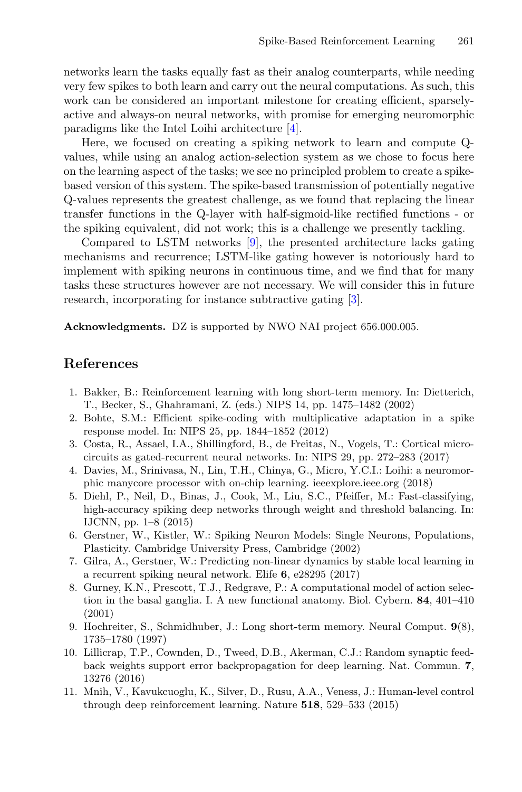networks learn the tasks equally fast as their analog counterparts, while needing very few spikes to both learn and carry out the neural computations. As such, this work can be considered an important milestone for creating efficient, sparselyactive and always-on neural networks, with promise for emerging neuromorphic paradigms like the Intel Loihi architecture [\[4\]](#page-11-8).

Here, we focused on creating a spiking network to learn and compute Qvalues, while using an analog action-selection system as we chose to focus here on the learning aspect of the tasks; we see no principled problem to create a spikebased version of this system. The spike-based transmission of potentially negative Q-values represents the greatest challenge, as we found that replacing the linear transfer functions in the Q-layer with half-sigmoid-like rectified functions - or the spiking equivalent, did not work; this is a challenge we presently tackling.

Compared to LSTM networks [\[9](#page-11-9)], the presented architecture lacks gating mechanisms and recurrence; LSTM-like gating however is notoriously hard to implement with spiking neurons in continuous time, and we find that for many tasks these structures however are not necessary. We will consider this in future research, incorporating for instance subtractive gating [\[3](#page-11-10)].

**Acknowledgments.** DZ is supported by NWO NAI project 656.000.005.

## **References**

- <span id="page-11-1"></span>1. Bakker, B.: Reinforcement learning with long short-term memory. In: Dietterich, T., Becker, S., Ghahramani, Z. (eds.) NIPS 14, pp. 1475–1482 (2002)
- <span id="page-11-4"></span>2. Bohte, S.M.: Efficient spike-coding with multiplicative adaptation in a spike response model. In: NIPS 25, pp. 1844–1852 (2012)
- <span id="page-11-10"></span>3. Costa, R., Assael, I.A., Shillingford, B., de Freitas, N., Vogels, T.: Cortical microcircuits as gated-recurrent neural networks. In: NIPS 29, pp. 272–283 (2017)
- <span id="page-11-8"></span>4. Davies, M., Srinivasa, N., Lin, T.H., Chinya, G., Micro, Y.C.I.: Loihi: a neuromorphic manycore processor with on-chip learning. ieeexplore.ieee.org (2018)
- <span id="page-11-2"></span>5. Diehl, P., Neil, D., Binas, J., Cook, M., Liu, S.C., Pfeiffer, M.: Fast-classifying, high-accuracy spiking deep networks through weight and threshold balancing. In: IJCNN, pp. 1–8 (2015)
- <span id="page-11-6"></span>6. Gerstner, W., Kistler, W.: Spiking Neuron Models: Single Neurons, Populations, Plasticity. Cambridge University Press, Cambridge (2002)
- <span id="page-11-3"></span>7. Gilra, A., Gerstner, W.: Predicting non-linear dynamics by stable local learning in a recurrent spiking neural network. Elife **6**, e28295 (2017)
- <span id="page-11-5"></span>8. Gurney, K.N., Prescott, T.J., Redgrave, P.: A computational model of action selection in the basal ganglia. I. A new functional anatomy. Biol. Cybern. **84**, 401–410 (2001)
- <span id="page-11-9"></span>9. Hochreiter, S., Schmidhuber, J.: Long short-term memory. Neural Comput. **9**(8), 1735–1780 (1997)
- <span id="page-11-7"></span>10. Lillicrap, T.P., Cownden, D., Tweed, D.B., Akerman, C.J.: Random synaptic feedback weights support error backpropagation for deep learning. Nat. Commun. **7**, 13276 (2016)
- <span id="page-11-0"></span>11. Mnih, V., Kavukcuoglu, K., Silver, D., Rusu, A.A., Veness, J.: Human-level control through deep reinforcement learning. Nature **518**, 529–533 (2015)